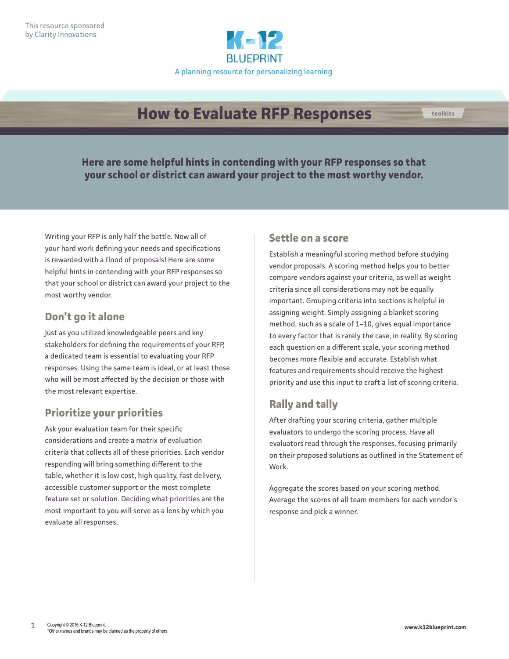

# **How to Evaluate RFP Responses toolkits**

**Here are some helpful hints in contending with your RFP responses so that your school or district can award your project to the most worthy vendor.**

Writing your RFP is only half the battle. Now all of your hard work defining your needs and specifications is rewarded with a flood of proposals! Here are some helpful hints in contending with your RFP responses so that your school or district can award your project to the most worthy vendor.

### **Don't go it alone**

Just as you utilized knowledgeable peers and key stakeholders for defining the requirements of your RFP, a dedicated team is essential to evaluating your RFP responses. Using the same team is ideal, or at least those who will be most affected by the decision or those with the most relevant expertise.

# **Prioritize your priorities**

Ask your evaluation team for their specific considerations and create a matrix of evaluation criteria that collects all of these priorities. Each vendor responding will bring something different to the table, whether it is low cost, high quality, fast delivery, accessible customer support or the most complete feature set or solution. Deciding what priorities are the most important to you will serve as a lens by which you evaluate all responses.

#### **Settle on a score**

Establish a meaningful scoring method before studying vendor proposals. A scoring method helps you to better compare vendors against your criteria, as well as weight criteria since all considerations may not be equally important. Grouping criteria into sections is helpful in assigning weight. Simply assigning a blanket scoring method, such as a scale of 1–10, gives equal importance to every factor that is rarely the case, in reality. By scoring each question on a different scale, your scoring method becomes more flexible and accurate. Establish what features and requirements should receive the highest priority and use this input to craft a list of scoring criteria.

# **Rally and tally**

After drafting your scoring criteria, gather multiple evaluators to undergo the scoring process. Have all evaluators read through the responses, focusing primarily on their proposed solutions as outlined in the Statement of Work.

Aggregate the scores based on your scoring method. Average the scores of all team members for each vendor's response and pick a winner.